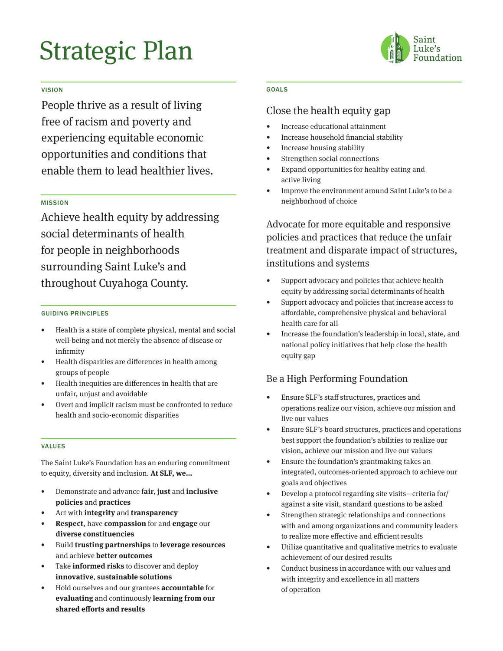# Strategic Plan



#### VISION

People thrive as a result of living free of racism and poverty and experiencing equitable economic opportunities and conditions that enable them to lead healthier lives.

#### MISSION

Achieve health equity by addressing social determinants of health for people in neighborhoods surrounding Saint Luke's and throughout Cuyahoga County.

#### GUIDING PRINCIPLES

- Health is a state of complete physical, mental and social well-being and not merely the absence of disease or infirmity
- Health disparities are differences in health among groups of people
- Health inequities are differences in health that are unfair, unjust and avoidable
- Overt and implicit racism must be confronted to reduce health and socio-economic disparities

#### VALUES

The Saint Luke's Foundation has an enduring commitment to equity, diversity and inclusion. **At SLF, we…**

- Demonstrate and advance f**air**, **just** and **inclusive policies** and **practices**
- Act with **integrity** and **transparency**
- **• Respect**, have **compassion** for and **engage** our **diverse constituencies**
- Build **trusting partnerships** to **leverage resources**  and achieve **better outcomes**
- Take **informed risks** to discover and deploy **innovative**, **sustainable solutions**
- Hold ourselves and our grantees **accountable** for **evaluating** and continuously **learning from our shared efforts and results**

#### GOALS

### Close the health equity gap

- Increase educational attainment
- Increase household financial stability
- Increase housing stability
- Strengthen social connections
- Expand opportunities for healthy eating and active living
- Improve the environment around Saint Luke's to be a neighborhood of choice

Advocate for more equitable and responsive policies and practices that reduce the unfair treatment and disparate impact of structures, institutions and systems

- Support advocacy and policies that achieve health equity by addressing social determinants of health
- Support advocacy and policies that increase access to affordable, comprehensive physical and behavioral health care for all
- Increase the foundation's leadership in local, state, and national policy initiatives that help close the health equity gap

## Be a High Performing Foundation

- Ensure SLF's staff structures, practices and operations realize our vision, achieve our mission and live our values
- Ensure SLF's board structures, practices and operations best support the foundation's abilities to realize our vision, achieve our mission and live our values
- Ensure the foundation's grantmaking takes an integrated, outcomes-oriented approach to achieve our goals and objectives
- Develop a protocol regarding site visits—criteria for/ against a site visit, standard questions to be asked
- Strengthen strategic relationships and connections with and among organizations and community leaders to realize more effective and efficient results
- Utilize quantitative and qualitative metrics to evaluate achievement of our desired results
- Conduct business in accordance with our values and with integrity and excellence in all matters of operation